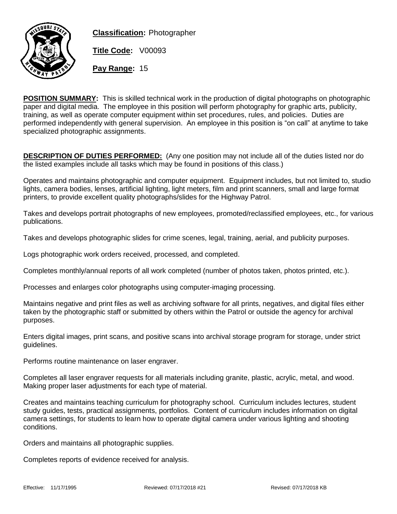

**Classification:** Photographer

**Title Code:** V00093

**Pay Range:** 15

**POSITION SUMMARY:** This is skilled technical work in the production of digital photographs on photographic paper and digital media. The employee in this position will perform photography for graphic arts, publicity, training, as well as operate computer equipment within set procedures, rules, and policies. Duties are performed independently with general supervision. An employee in this position is "on call" at anytime to take specialized photographic assignments.

**DESCRIPTION OF DUTIES PERFORMED:** (Any one position may not include all of the duties listed nor do the listed examples include all tasks which may be found in positions of this class.)

Operates and maintains photographic and computer equipment. Equipment includes, but not limited to, studio lights, camera bodies, lenses, artificial lighting, light meters, film and print scanners, small and large format printers, to provide excellent quality photographs/slides for the Highway Patrol.

Takes and develops portrait photographs of new employees, promoted/reclassified employees, etc., for various publications.

Takes and develops photographic slides for crime scenes, legal, training, aerial, and publicity purposes.

Logs photographic work orders received, processed, and completed.

Completes monthly/annual reports of all work completed (number of photos taken, photos printed, etc.).

Processes and enlarges color photographs using computer-imaging processing.

Maintains negative and print files as well as archiving software for all prints, negatives, and digital files either taken by the photographic staff or submitted by others within the Patrol or outside the agency for archival purposes.

Enters digital images, print scans, and positive scans into archival storage program for storage, under strict guidelines.

Performs routine maintenance on laser engraver.

Completes all laser engraver requests for all materials including granite, plastic, acrylic, metal, and wood. Making proper laser adjustments for each type of material.

Creates and maintains teaching curriculum for photography school. Curriculum includes lectures, student study guides, tests, practical assignments, portfolios. Content of curriculum includes information on digital camera settings, for students to learn how to operate digital camera under various lighting and shooting conditions.

Orders and maintains all photographic supplies.

Completes reports of evidence received for analysis.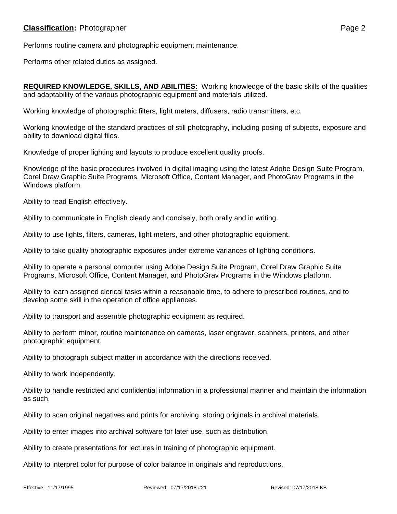Performs routine camera and photographic equipment maintenance.

Performs other related duties as assigned.

**REQUIRED KNOWLEDGE, SKILLS, AND ABILITIES:** Working knowledge of the basic skills of the qualities and adaptability of the various photographic equipment and materials utilized.

Working knowledge of photographic filters, light meters, diffusers, radio transmitters, etc.

Working knowledge of the standard practices of still photography, including posing of subjects, exposure and ability to download digital files.

Knowledge of proper lighting and layouts to produce excellent quality proofs.

Knowledge of the basic procedures involved in digital imaging using the latest Adobe Design Suite Program, Corel Draw Graphic Suite Programs, Microsoft Office, Content Manager, and PhotoGrav Programs in the Windows platform.

Ability to read English effectively.

Ability to communicate in English clearly and concisely, both orally and in writing.

Ability to use lights, filters, cameras, light meters, and other photographic equipment.

Ability to take quality photographic exposures under extreme variances of lighting conditions.

Ability to operate a personal computer using Adobe Design Suite Program, Corel Draw Graphic Suite Programs, Microsoft Office, Content Manager, and PhotoGrav Programs in the Windows platform.

Ability to learn assigned clerical tasks within a reasonable time, to adhere to prescribed routines, and to develop some skill in the operation of office appliances.

Ability to transport and assemble photographic equipment as required.

Ability to perform minor, routine maintenance on cameras, laser engraver, scanners, printers, and other photographic equipment.

Ability to photograph subject matter in accordance with the directions received.

Ability to work independently.

Ability to handle restricted and confidential information in a professional manner and maintain the information as such.

Ability to scan original negatives and prints for archiving, storing originals in archival materials.

Ability to enter images into archival software for later use, such as distribution.

Ability to create presentations for lectures in training of photographic equipment.

Ability to interpret color for purpose of color balance in originals and reproductions.